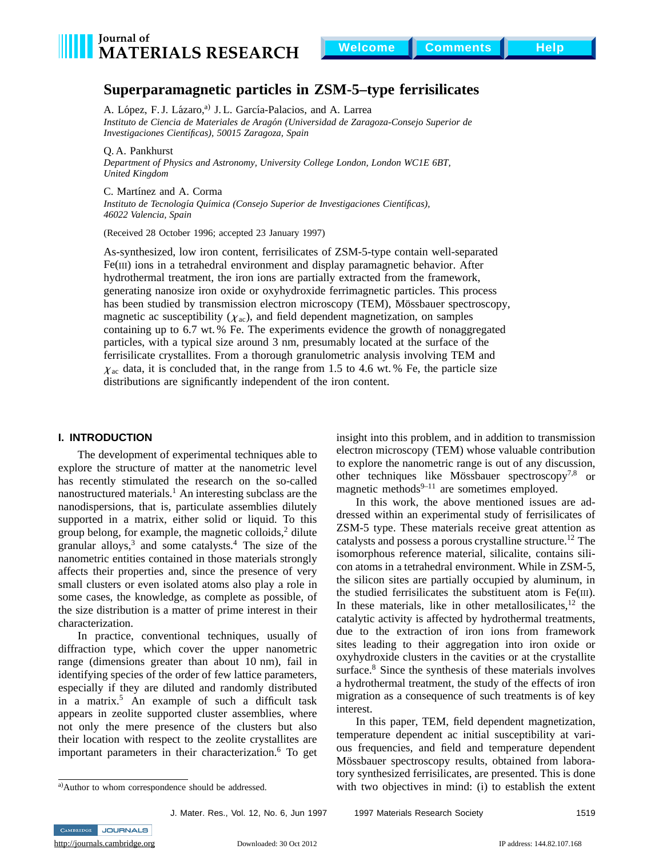

# **Superparamagnetic particles in ZSM-5–type ferrisilicates**

A. López, F.J. Lázaro,<sup>a)</sup> J.L. García-Palacios, and A. Larrea *Instituto de Ciencia de Materiales de Arag´on (Universidad de Zaragoza-Consejo Superior de Investigaciones Cient´ıficas), 50015 Zaragoza, Spain*

Q. A. Pankhurst

*Department of Physics and Astronomy, University College London, London WC1E 6BT, United Kingdom*

C. Martínez and A. Corma

Instituto de Tecnología Química (Consejo Superior de Investigaciones Científicas), *46022 Valencia, Spain*

(Received 28 October 1996; accepted 23 January 1997)

As-synthesized, low iron content, ferrisilicates of ZSM-5-type contain well-separated Fe(III) ions in a tetrahedral environment and display paramagnetic behavior. After hydrothermal treatment, the iron ions are partially extracted from the framework, generating nanosize iron oxide or oxyhydroxide ferrimagnetic particles. This process has been studied by transmission electron microscopy (TEM), Mössbauer spectroscopy, magnetic ac susceptibility ( $\chi_{ac}$ ), and field dependent magnetization, on samples containing up to 6.7 wt. % Fe. The experiments evidence the growth of nonaggregated particles, with a typical size around 3 nm, presumably located at the surface of the ferrisilicate crystallites. From a thorough granulometric analysis involving TEM and  $\chi_{ac}$  data, it is concluded that, in the range from 1.5 to 4.6 wt. % Fe, the particle size distributions are significantly independent of the iron content.

### **I. INTRODUCTION**

The development of experimental techniques able to explore the structure of matter at the nanometric level has recently stimulated the research on the so-called nanostructured materials. $<sup>1</sup>$  An interesting subclass are the</sup> nanodispersions, that is, particulate assemblies dilutely supported in a matrix, either solid or liquid. To this group belong, for example, the magnetic colloids, $2$  dilute granular alloys, $3$  and some catalysts.<sup>4</sup> The size of the nanometric entities contained in those materials strongly affects their properties and, since the presence of very small clusters or even isolated atoms also play a role in some cases, the knowledge, as complete as possible, of the size distribution is a matter of prime interest in their characterization.

In practice, conventional techniques, usually of diffraction type, which cover the upper nanometric range (dimensions greater than about 10 nm), fail in identifying species of the order of few lattice parameters, especially if they are diluted and randomly distributed in a matrix.<sup>5</sup> An example of such a difficult task appears in zeolite supported cluster assemblies, where not only the mere presence of the clusters but also their location with respect to the zeolite crystallites are important parameters in their characterization.<sup>6</sup> To get insight into this problem, and in addition to transmission electron microscopy (TEM) whose valuable contribution to explore the nanometric range is out of any discussion, other techniques like Mössbauer spectroscopy<sup>7,8</sup> or magnetic methods $^{9-11}$  are sometimes employed.

In this work, the above mentioned issues are addressed within an experimental study of ferrisilicates of ZSM-5 type. These materials receive great attention as catalysts and possess a porous crystalline structure.12 The isomorphous reference material, silicalite, contains silicon atoms in a tetrahedral environment. While in ZSM-5, the silicon sites are partially occupied by aluminum, in the studied ferrisilicates the substituent atom is Fe(III). In these materials, like in other metallosilicates, $12$  the catalytic activity is affected by hydrothermal treatments, due to the extraction of iron ions from framework sites leading to their aggregation into iron oxide or oxyhydroxide clusters in the cavities or at the crystallite surface.<sup>8</sup> Since the synthesis of these materials involves a hydrothermal treatment, the study of the effects of iron migration as a consequence of such treatments is of key interest.

In this paper, TEM, field dependent magnetization, temperature dependent ac initial susceptibility at various frequencies, and field and temperature dependent Mössbauer spectroscopy results, obtained from laboratory synthesized ferrisilicates, are presented. This is done with two objectives in mind: (i) to establish the extent

J. Mater. Res., Vol. 12, No. 6, Jun 1997 1997 Materials Research Society 1519

CAMBRIDGE JOURNALS

a)Author to whom correspondence should be addressed.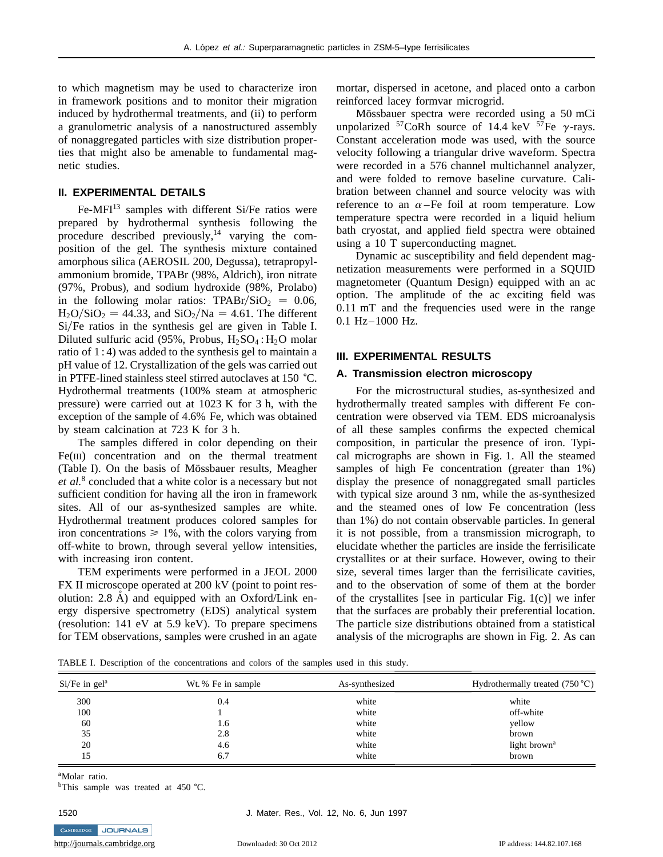to which magnetism may be used to characterize iron in framework positions and to monitor their migration induced by hydrothermal treatments, and (ii) to perform a granulometric analysis of a nanostructured assembly of nonaggregated particles with size distribution properties that might also be amenable to fundamental magnetic studies.

# **II. EXPERIMENTAL DETAILS**

Fe-MFI<sup>13</sup> samples with different Si/Fe ratios were prepared by hydrothermal synthesis following the procedure described previously, $14$  varying the composition of the gel. The synthesis mixture contained amorphous silica (AEROSIL 200, Degussa), tetrapropylammonium bromide, TPABr (98%, Aldrich), iron nitrate (97%, Probus), and sodium hydroxide (98%, Prolabo) in the following molar ratios:  $TPABr/SiO<sub>2</sub> = 0.06$ ,  $H_2O/SiO_2 = 44.33$ , and  $SiO_2/Na = 4.61$ . The different Si/Fe ratios in the synthesis gel are given in Table I. Diluted sulfuric acid (95%, Probus,  $H_2SO_4$ :  $H_2O$  molar ratio of 1 : 4) was added to the synthesis gel to maintain a pH value of 12. Crystallization of the gels was carried out in PTFE-lined stainless steel stirred autoclaves at 150 °C. Hydrothermal treatments (100% steam at atmospheric pressure) were carried out at 1023 K for 3 h, with the exception of the sample of 4.6% Fe, which was obtained by steam calcination at 723 K for 3 h.

The samples differed in color depending on their Fe(III) concentration and on the thermal treatment (Table I). On the basis of Mössbauer results, Meagher *et al.*<sup>8</sup> concluded that a white color is a necessary but not sufficient condition for having all the iron in framework sites. All of our as-synthesized samples are white. Hydrothermal treatment produces colored samples for iron concentrations  $\geq 1\%$ , with the colors varying from off-white to brown, through several yellow intensities, with increasing iron content.

TEM experiments were performed in a JEOL 2000 FX II microscope operated at 200 kV (point to point resolution:  $2.8$  Å) and equipped with an Oxford/Link energy dispersive spectrometry (EDS) analytical system (resolution: 141 eV at 5.9 keV). To prepare specimens for TEM observations, samples were crushed in an agate

mortar, dispersed in acetone, and placed onto a carbon reinforced lacey formvar microgrid.

Mössbauer spectra were recorded using a 50 mCi unpolarized  $57 \text{C}$ , coRh source of 14.4 keV  $57 \text{Fe}$   $\gamma$ -rays. Constant acceleration mode was used, with the source velocity following a triangular drive waveform. Spectra were recorded in a 576 channel multichannel analyzer, and were folded to remove baseline curvature. Calibration between channel and source velocity was with reference to an  $\alpha$ –Fe foil at room temperature. Low temperature spectra were recorded in a liquid helium bath cryostat, and applied field spectra were obtained using a 10 T superconducting magnet.

Dynamic ac susceptibility and field dependent magnetization measurements were performed in a SQUID magnetometer (Quantum Design) equipped with an ac option. The amplitude of the ac exciting field was 0.11 mT and the frequencies used were in the range 0.1 Hz–1000 Hz.

#### **III. EXPERIMENTAL RESULTS**

#### **A. Transmission electron microscopy**

For the microstructural studies, as-synthesized and hydrothermally treated samples with different Fe concentration were observed via TEM. EDS microanalysis of all these samples confirms the expected chemical composition, in particular the presence of iron. Typical micrographs are shown in Fig. 1. All the steamed samples of high Fe concentration (greater than 1%) display the presence of nonaggregated small particles with typical size around 3 nm, while the as-synthesized and the steamed ones of low Fe concentration (less than 1%) do not contain observable particles. In general it is not possible, from a transmission micrograph, to elucidate whether the particles are inside the ferrisilicate crystallites or at their surface. However, owing to their size, several times larger than the ferrisilicate cavities, and to the observation of some of them at the border of the crystallites [see in particular Fig.  $1(c)$ ] we infer that the surfaces are probably their preferential location. The particle size distributions obtained from a statistical analysis of the micrographs are shown in Fig. 2. As can

TABLE I. Description of the concentrations and colors of the samples used in this study.

| $Si/Fe$ in gel <sup>a</sup> | Wt. % Fe in sample | As-synthesized | Hydrothermally treated $(750 °C)$ |  |
|-----------------------------|--------------------|----------------|-----------------------------------|--|
| 300                         | 0.4                | white          | white                             |  |
| 100                         |                    | white          | off-white                         |  |
| 60                          | 1.6                | white          | yellow                            |  |
| 35                          | 2.8                | white          | brown                             |  |
| 20                          | 4.6                | white          | light brown <sup>a</sup>          |  |
| 15                          | 6.7                | white          | brown                             |  |

<sup>a</sup>Molar ratio.

CAMBRIDGE JOURNALS

 $b$ This sample was treated at 450 °C.

1520 J. Mater. Res., Vol. 12, No. 6, Jun 1997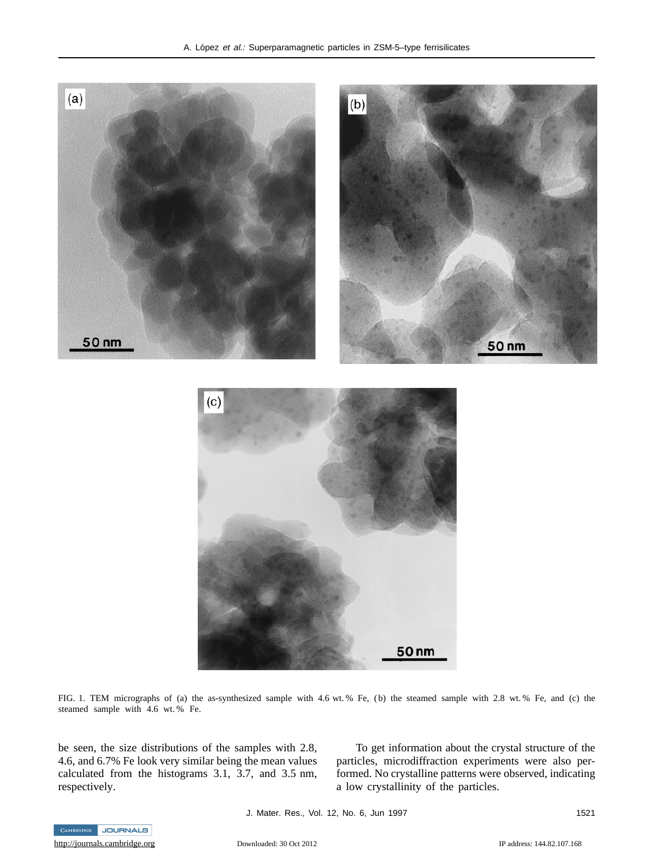

FIG. 1. TEM micrographs of (a) the as-synthesized sample with 4.6 wt. % Fe, (b) the steamed sample with 2.8 wt. % Fe, and (c) the steamed sample with 4.6 wt. % Fe.

be seen, the size distributions of the samples with 2.8, 4.6, and 6.7% Fe look very similar being the mean values calculated from the histograms 3.1, 3.7, and 3.5 nm, respectively.

To get information about the crystal structure of the particles, microdiffraction experiments were also performed. No crystalline patterns were observed, indicating a low crystallinity of the particles.

J. Mater. Res., Vol. 12, No. 6, Jun 1997 1521

CAMBRIDGE JOURNALS

<http://journals.cambridge.org> Downloaded: 30 Oct 2012 IP address: 144.82.107.168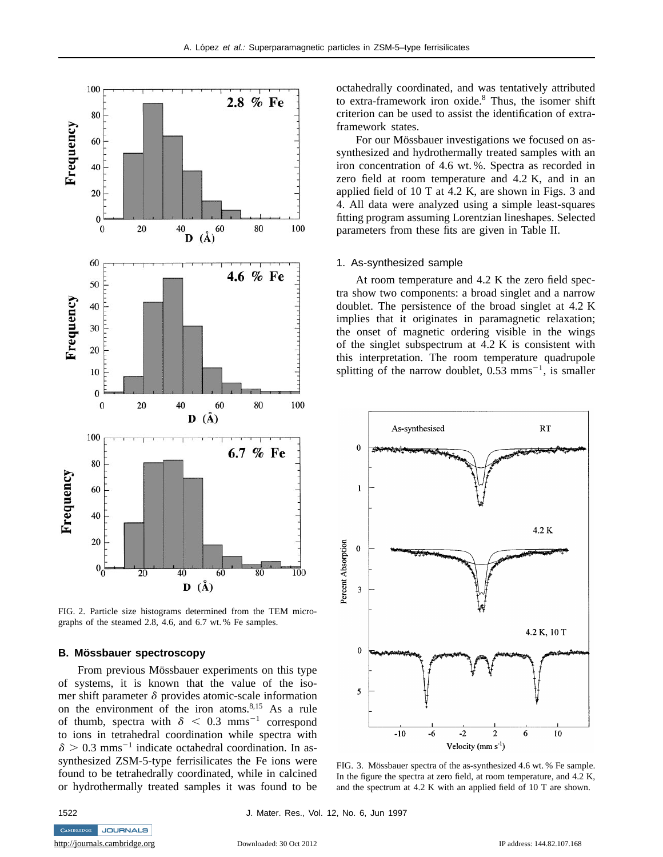

FIG. 2. Particle size histograms determined from the TEM micrographs of the steamed 2.8, 4.6, and 6.7 wt. % Fe samples.

# **B. Mössbauer spectroscopy**

From previous Mössbauer experiments on this type of systems, it is known that the value of the isomer shift parameter  $\delta$  provides atomic-scale information on the environment of the iron atoms.<sup>8,15</sup> As a rule of thumb, spectra with  $\delta$  < 0.3 mms<sup>-1</sup> correspond to ions in tetrahedral coordination while spectra with  $\delta > 0.3$  mms<sup>-1</sup> indicate octahedral coordination. In assynthesized ZSM-5-type ferrisilicates the Fe ions were found to be tetrahedrally coordinated, while in calcined or hydrothermally treated samples it was found to be octahedrally coordinated, and was tentatively attributed to extra-framework iron oxide.8 Thus, the isomer shift criterion can be used to assist the identification of extraframework states.

For our Mössbauer investigations we focused on assynthesized and hydrothermally treated samples with an iron concentration of 4.6 wt. %. Spectra as recorded in zero field at room temperature and 4.2 K, and in an applied field of 10 T at 4.2 K, are shown in Figs. 3 and 4. All data were analyzed using a simple least-squares fitting program assuming Lorentzian lineshapes. Selected parameters from these fits are given in Table II.

### 1. As-synthesized sample

At room temperature and 4.2 K the zero field spectra show two components: a broad singlet and a narrow doublet. The persistence of the broad singlet at 4.2 K implies that it originates in paramagnetic relaxation; the onset of magnetic ordering visible in the wings of the singlet subspectrum at 4.2 K is consistent with this interpretation. The room temperature quadrupole splitting of the narrow doublet,  $0.53$  mms<sup>-1</sup>, is smaller



FIG. 3. Mössbauer spectra of the as-synthesized 4.6 wt. % Fe sample. In the figure the spectra at zero field, at room temperature, and 4.2 K, and the spectrum at 4.2 K with an applied field of 10 T are shown.

CAMBRIDGE JOURNALS

1522 J. Mater. Res., Vol. 12, No. 6, Jun 1997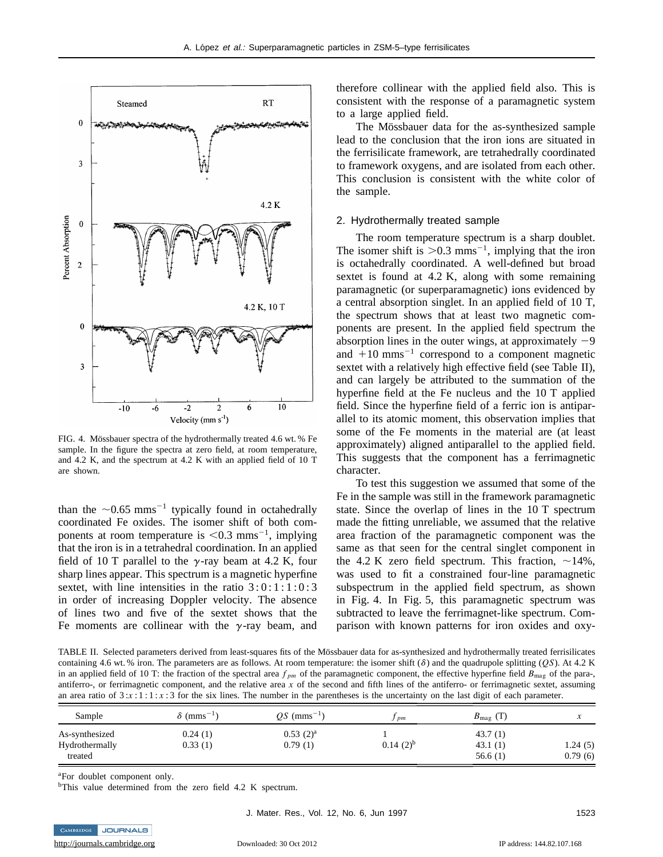

FIG. 4. Mössbauer spectra of the hydrothermally treated 4.6 wt. % Fe sample. In the figure the spectra at zero field, at room temperature, and 4.2 K, and the spectrum at 4.2 K with an applied field of 10 T are shown.

than the  $\sim 0.65$  mms<sup>-1</sup> typically found in octahedrally coordinated Fe oxides. The isomer shift of both components at room temperature is  $< 0.3$  mms<sup>-1</sup>, implying that the iron is in a tetrahedral coordination. In an applied field of 10 T parallel to the  $\gamma$ -ray beam at 4.2 K, four sharp lines appear. This spectrum is a magnetic hyperfine sextet, with line intensities in the ratio  $3:0:1:1:0:3$ in order of increasing Doppler velocity. The absence of lines two and five of the sextet shows that the Fe moments are collinear with the  $\gamma$ -ray beam, and

therefore collinear with the applied field also. This is consistent with the response of a paramagnetic system to a large applied field.

The Mössbauer data for the as-synthesized sample lead to the conclusion that the iron ions are situated in the ferrisilicate framework, are tetrahedrally coordinated to framework oxygens, and are isolated from each other. This conclusion is consistent with the white color of the sample.

## 2. Hydrothermally treated sample

The room temperature spectrum is a sharp doublet. The isomer shift is  $> 0.3$  mms<sup>-1</sup>, implying that the iron is octahedrally coordinated. A well-defined but broad sextet is found at 4.2 K, along with some remaining paramagnetic (or superparamagnetic) ions evidenced by a central absorption singlet. In an applied field of 10 T, the spectrum shows that at least two magnetic components are present. In the applied field spectrum the absorption lines in the outer wings, at approximately  $-9$ and  $+10$  mms<sup>-1</sup> correspond to a component magnetic sextet with a relatively high effective field (see Table II), and can largely be attributed to the summation of the hyperfine field at the Fe nucleus and the 10 T applied field. Since the hyperfine field of a ferric ion is antiparallel to its atomic moment, this observation implies that some of the Fe moments in the material are (at least approximately) aligned antiparallel to the applied field. This suggests that the component has a ferrimagnetic character.

To test this suggestion we assumed that some of the Fe in the sample was still in the framework paramagnetic state. Since the overlap of lines in the 10 T spectrum made the fitting unreliable, we assumed that the relative area fraction of the paramagnetic component was the same as that seen for the central singlet component in the 4.2 K zero field spectrum. This fraction,  $\sim$ 14%, was used to fit a constrained four-line paramagnetic subspectrum in the applied field spectrum, as shown in Fig. 4. In Fig. 5, this paramagnetic spectrum was subtracted to leave the ferrimagnet-like spectrum. Comparison with known patterns for iron oxides and oxy-

TABLE II. Selected parameters derived from least-squares fits of the Mössbauer data for as-synthesized and hydrothermally treated ferrisilicates containing 4.6 wt. % iron. The parameters are as follows. At room temperature: the isomer shift  $(\delta)$  and the quadrupole splitting (*OS*). At 4.2 K in an applied field of 10 T: the fraction of the spectral area  $f_{pm}$  of the paramagnetic component, the effective hyperfine field  $B_{\text{mag}}$  of the para-, antiferro-, or ferrimagnetic component, and the relative area *x* of the second and fifth lines of the antiferro- or ferrimagnetic sextet, assuming an area ratio of  $3:x:1:1:x:3$  for the six lines. The number in the parentheses is the uncertainty on the last digit of each parameter.

| Sample                                      | $\delta$ (mms <sup>-1</sup> ) | $OS \text{ (mms}^{-1})$ | pm            | $B_{\text{mag}}$ (T)          |                    |
|---------------------------------------------|-------------------------------|-------------------------|---------------|-------------------------------|--------------------|
| As-synthesized<br>Hydrothermally<br>treated | 0.24(1)<br>0.33(1)            | $0.53(2)^a$<br>0.79(1)  | $0.14(2)^{b}$ | 43.7(1)<br>43.1(1)<br>56.6(1) | 1.24(5)<br>0.79(6) |

aFor doublet component only.

JOURNALS

<sup>b</sup>This value determined from the zero field 4.2 K spectrum.

**CAMBRIDGE**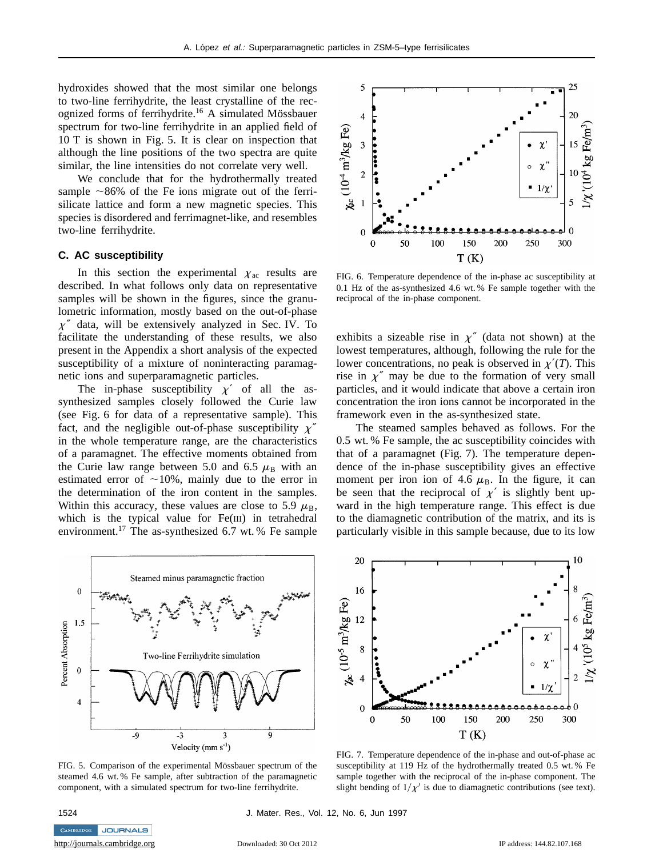hydroxides showed that the most similar one belongs to two-line ferrihydrite, the least crystalline of the recognized forms of ferrihydrite.<sup>16</sup> A simulated Mössbauer spectrum for two-line ferrihydrite in an applied field of 10 T is shown in Fig. 5. It is clear on inspection that although the line positions of the two spectra are quite similar, the line intensities do not correlate very well.

We conclude that for the hydrothermally treated sample  $\sim86\%$  of the Fe ions migrate out of the ferrisilicate lattice and form a new magnetic species. This species is disordered and ferrimagnet-like, and resembles two-line ferrihydrite.

# **C. AC susceptibility**

In this section the experimental  $\chi_{ac}$  results are described. In what follows only data on representative samples will be shown in the figures, since the granulometric information, mostly based on the out-of-phase  $\chi''$  data, will be extensively analyzed in Sec. IV. To facilitate the understanding of these results, we also present in the Appendix a short analysis of the expected susceptibility of a mixture of noninteracting paramagnetic ions and superparamagnetic particles.

The in-phase susceptibility  $\chi'$  of all the assynthesized samples closely followed the Curie law (see Fig. 6 for data of a representative sample). This fact, and the negligible out-of-phase susceptibility  $\chi''$ in the whole temperature range, are the characteristics of a paramagnet. The effective moments obtained from the Curie law range between 5.0 and 6.5  $\mu_B$  with an estimated error of  $\sim$ 10%, mainly due to the error in the determination of the iron content in the samples. Within this accuracy, these values are close to 5.9  $\mu$ <sub>B</sub>, which is the typical value for Fe(III) in tetrahedral environment.17 The as-synthesized 6.7 wt. % Fe sample



FIG. 5. Comparison of the experimental Mössbauer spectrum of the steamed 4.6 wt. % Fe sample, after subtraction of the paramagnetic component, with a simulated spectrum for two-line ferrihydrite.



FIG. 6. Temperature dependence of the in-phase ac susceptibility at 0.1 Hz of the as-synthesized 4.6 wt. % Fe sample together with the reciprocal of the in-phase component.

exhibits a sizeable rise in  $\chi''$  (data not shown) at the lowest temperatures, although, following the rule for the lower concentrations, no peak is observed in  $\chi'(T)$ . This rise in  $\chi''$  may be due to the formation of very small particles, and it would indicate that above a certain iron concentration the iron ions cannot be incorporated in the framework even in the as-synthesized state.

The steamed samples behaved as follows. For the 0.5 wt. % Fe sample, the ac susceptibility coincides with that of a paramagnet (Fig. 7). The temperature dependence of the in-phase susceptibility gives an effective moment per iron ion of 4.6  $\mu$ <sub>B</sub>. In the figure, it can be seen that the reciprocal of  $\chi'$  is slightly bent upward in the high temperature range. This effect is due to the diamagnetic contribution of the matrix, and its is particularly visible in this sample because, due to its low



FIG. 7. Temperature dependence of the in-phase and out-of-phase ac susceptibility at 119 Hz of the hydrothermally treated 0.5 wt. % Fe sample together with the reciprocal of the in-phase component. The slight bending of  $1/\chi'$  is due to diamagnetic contributions (see text).

CAMBRIDGE JOURNALS <http://journals.cambridge.org> Downloaded: 30 Oct 2012 IP address: 144.82.107.168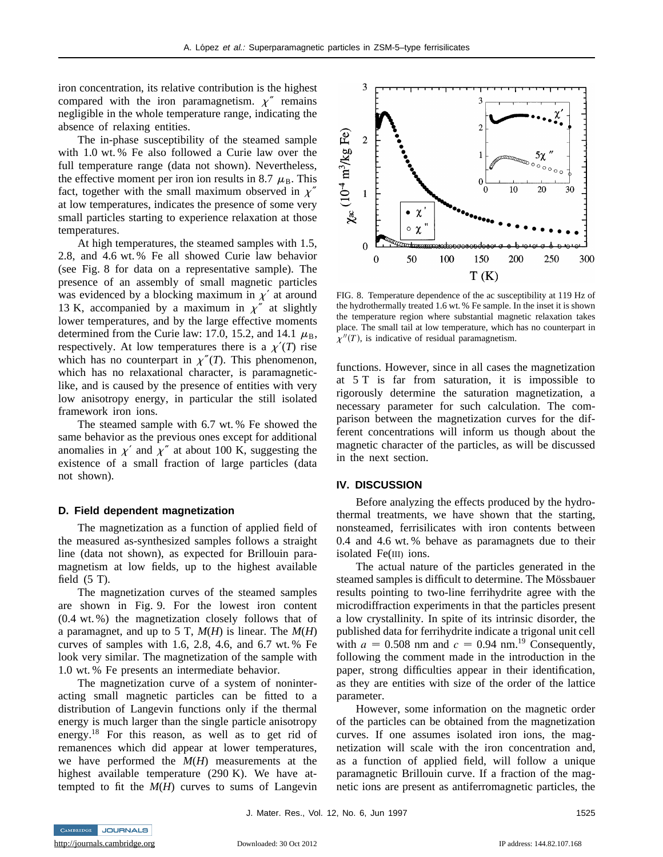iron concentration, its relative contribution is the highest compared with the iron paramagnetism.  $\chi''$  remains negligible in the whole temperature range, indicating the absence of relaxing entities.

The in-phase susceptibility of the steamed sample with 1.0 wt. % Fe also followed a Curie law over the full temperature range (data not shown). Nevertheless, the effective moment per iron ion results in 8.7  $\mu_{\rm B}$ . This fact, together with the small maximum observed in  $\chi''$ at low temperatures, indicates the presence of some very small particles starting to experience relaxation at those temperatures.

At high temperatures, the steamed samples with 1.5, 2.8, and 4.6 wt. % Fe all showed Curie law behavior (see Fig. 8 for data on a representative sample). The presence of an assembly of small magnetic particles was evidenced by a blocking maximum in  $\chi'$  at around 13 K, accompanied by a maximum in  $\chi''$  at slightly lower temperatures, and by the large effective moments determined from the Curie law: 17.0, 15.2, and 14.1  $\mu_B$ , respectively. At low temperatures there is a  $\chi'(T)$  rise which has no counterpart in  $\chi''(T)$ . This phenomenon, which has no relaxational character, is paramagneticlike, and is caused by the presence of entities with very low anisotropy energy, in particular the still isolated framework iron ions.

The steamed sample with 6.7 wt. % Fe showed the same behavior as the previous ones except for additional anomalies in  $\chi'$  and  $\chi''$  at about 100 K, suggesting the existence of a small fraction of large particles (data not shown).

#### **D. Field dependent magnetization**

The magnetization as a function of applied field of the measured as-synthesized samples follows a straight line (data not shown), as expected for Brillouin paramagnetism at low fields, up to the highest available field  $(5 T)$ .

The magnetization curves of the steamed samples are shown in Fig. 9. For the lowest iron content (0.4 wt. %) the magnetization closely follows that of a paramagnet, and up to 5 T, *M*(*H*) is linear. The *M*(*H*) curves of samples with 1.6, 2.8, 4.6, and 6.7 wt. % Fe look very similar. The magnetization of the sample with 1.0 wt. % Fe presents an intermediate behavior.

The magnetization curve of a system of noninteracting small magnetic particles can be fitted to a distribution of Langevin functions only if the thermal energy is much larger than the single particle anisotropy energy.<sup>18</sup> For this reason, as well as to get rid of remanences which did appear at lower temperatures, we have performed the *M*(*H*) measurements at the highest available temperature (290 K). We have attempted to fit the *M*(*H*) curves to sums of Langevin



FIG. 8. Temperature dependence of the ac susceptibility at 119 Hz of the hydrothermally treated 1.6 wt. % Fe sample. In the inset it is shown the temperature region where substantial magnetic relaxation takes place. The small tail at low temperature, which has no counterpart in  $\chi''(T)$ , is indicative of residual paramagnetism.

functions. However, since in all cases the magnetization at 5 T is far from saturation, it is impossible to rigorously determine the saturation magnetization, a necessary parameter for such calculation. The comparison between the magnetization curves for the different concentrations will inform us though about the magnetic character of the particles, as will be discussed in the next section.

#### **IV. DISCUSSION**

Before analyzing the effects produced by the hydrothermal treatments, we have shown that the starting, nonsteamed, ferrisilicates with iron contents between 0.4 and 4.6 wt. % behave as paramagnets due to their isolated Fe(III) ions.

The actual nature of the particles generated in the steamed samples is difficult to determine. The Mössbauer results pointing to two-line ferrihydrite agree with the microdiffraction experiments in that the particles present a low crystallinity. In spite of its intrinsic disorder, the published data for ferrihydrite indicate a trigonal unit cell with  $a = 0.508$  nm and  $c = 0.94$  nm.<sup>19</sup> Consequently, following the comment made in the introduction in the paper, strong difficulties appear in their identification, as they are entities with size of the order of the lattice parameter.

However, some information on the magnetic order of the particles can be obtained from the magnetization curves. If one assumes isolated iron ions, the magnetization will scale with the iron concentration and, as a function of applied field, will follow a unique paramagnetic Brillouin curve. If a fraction of the magnetic ions are present as antiferromagnetic particles, the

J. Mater. Res., Vol. 12, No. 6, Jun 1997 1525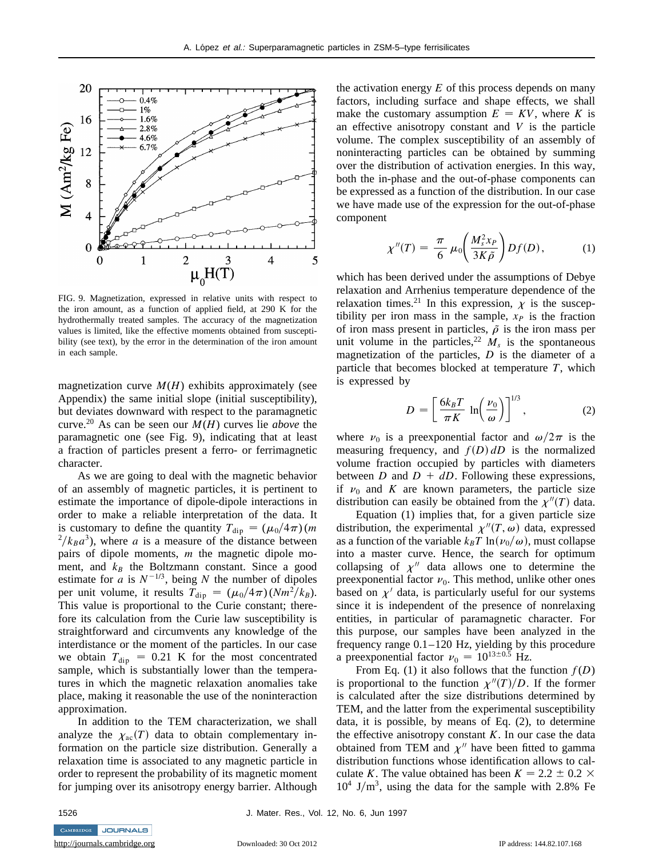

FIG. 9. Magnetization, expressed in relative units with respect to the iron amount, as a function of applied field, at 290 K for the hydrothermally treated samples. The accuracy of the magnetization values is limited, like the effective moments obtained from susceptibility (see text), by the error in the determination of the iron amount in each sample.

magnetization curve  $M(H)$  exhibits approximately (see Appendix) the same initial slope (initial susceptibility), but deviates downward with respect to the paramagnetic curve.<sup>20</sup> As can be seen our  $M(H)$  curves lie *above* the paramagnetic one (see Fig. 9), indicating that at least a fraction of particles present a ferro- or ferrimagnetic character.

As we are going to deal with the magnetic behavior of an assembly of magnetic particles, it is pertinent to estimate the importance of dipole-dipole interactions in order to make a reliable interpretation of the data. It is customary to define the quantity  $T_{\text{dip}} = (\mu_0/4\pi)$  (*m*)  $^{2}/k_{B}a^{3}$ , where *a* is a measure of the distance between pairs of dipole moments, *m* the magnetic dipole moment, and  $k_B$  the Boltzmann constant. Since a good estimate for  $\alpha$  is  $N^{-1/3}$ , being  $N$  the number of dipoles per unit volume, it results  $T_{\text{dip}} = (\mu_0/4\pi)(Nm^2/k_B)$ . This value is proportional to the Curie constant; therefore its calculation from the Curie law susceptibility is straightforward and circumvents any knowledge of the interdistance or the moment of the particles. In our case we obtain  $T_{\text{dip}} = 0.21$  K for the most concentrated sample, which is substantially lower than the temperatures in which the magnetic relaxation anomalies take place, making it reasonable the use of the noninteraction approximation.

In addition to the TEM characterization, we shall analyze the  $\chi_{ac}(T)$  data to obtain complementary information on the particle size distribution. Generally a relaxation time is associated to any magnetic particle in order to represent the probability of its magnetic moment for jumping over its anisotropy energy barrier. Although

the activation energy  $E$  of this process depends on many factors, including surface and shape effects, we shall make the customary assumption  $E = KV$ , where *K* is an effective anisotropy constant and *V* is the particle volume. The complex susceptibility of an assembly of noninteracting particles can be obtained by summing over the distribution of activation energies. In this way, both the in-phase and the out-of-phase components can be expressed as a function of the distribution. In our case we have made use of the expression for the out-of-phase component

$$
\chi''(T) = \frac{\pi}{6} \mu_0 \left( \frac{M_s^2 x_P}{3K \tilde{\rho}} \right) Df(D), \tag{1}
$$

which has been derived under the assumptions of Debye relaxation and Arrhenius temperature dependence of the relaxation times.<sup>21</sup> In this expression,  $\chi$  is the susceptibility per iron mass in the sample,  $x_P$  is the fraction of iron mass present in particles,  $\tilde{\rho}$  is the iron mass per unit volume in the particles,<sup>22</sup>  $M_s$  is the spontaneous magnetization of the particles, *D* is the diameter of a particle that becomes blocked at temperature *T*, which is expressed by

$$
D = \left[\frac{6k_B T}{\pi K} \ln\left(\frac{\nu_0}{\omega}\right)\right]^{1/3},\tag{2}
$$

where  $\nu_0$  is a preexponential factor and  $\omega/2\pi$  is the measuring frequency, and  $f(D)$  *dD* is the normalized volume fraction occupied by particles with diameters between *D* and  $D + dD$ . Following these expressions, if  $v_0$  and *K* are known parameters, the particle size distribution can easily be obtained from the  $\chi''(T)$  data.

Equation (1) implies that, for a given particle size distribution, the experimental  $\chi''(T, \omega)$  data, expressed as a function of the variable  $k_B T \ln(\nu_0/\omega)$ , must collapse into a master curve. Hence, the search for optimum collapsing of  $\chi^{\prime\prime}$  data allows one to determine the preexponential factor  $\nu_0$ . This method, unlike other ones based on  $\chi'$  data, is particularly useful for our systems since it is independent of the presence of nonrelaxing entities, in particular of paramagnetic character. For this purpose, our samples have been analyzed in the frequency range 0.1–120 Hz, yielding by this procedure a preexponential factor  $v_0 = 10^{13 \pm 0.5}$  Hz.

From Eq. (1) it also follows that the function  $f(D)$ is proportional to the function  $\chi''(T)/D$ . If the former is calculated after the size distributions determined by TEM, and the latter from the experimental susceptibility data, it is possible, by means of Eq. (2), to determine the effective anisotropy constant *K*. In our case the data obtained from TEM and  $\chi^{\prime\prime}$  have been fitted to gamma distribution functions whose identification allows to calculate *K*. The value obtained has been  $K = 2.2 \pm 0.2 \times$  $10^4$  J/m<sup>3</sup>, using the data for the sample with 2.8% Fe

CAMBRIDGE JOURNALS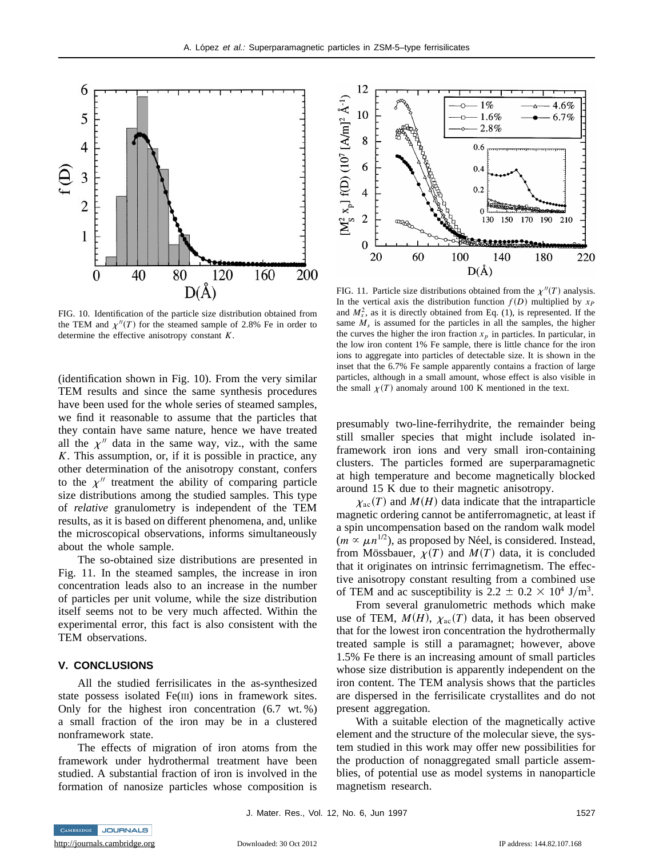

FIG. 10. Identification of the particle size distribution obtained from the TEM and  $\chi''(T)$  for the steamed sample of 2.8% Fe in order to determine the effective anisotropy constant *K*.

(identification shown in Fig. 10). From the very similar TEM results and since the same synthesis procedures have been used for the whole series of steamed samples, we find it reasonable to assume that the particles that they contain have same nature, hence we have treated all the  $\chi$ <sup>n</sup> data in the same way, viz., with the same *K*. This assumption, or, if it is possible in practice, any other determination of the anisotropy constant, confers to the  $\chi$ <sup>*n*</sup> treatment the ability of comparing particle size distributions among the studied samples. This type of *relative* granulometry is independent of the TEM results, as it is based on different phenomena, and, unlike the microscopical observations, informs simultaneously about the whole sample.

The so-obtained size distributions are presented in Fig. 11. In the steamed samples, the increase in iron concentration leads also to an increase in the number of particles per unit volume, while the size distribution itself seems not to be very much affected. Within the experimental error, this fact is also consistent with the TEM observations.

# **V. CONCLUSIONS**

All the studied ferrisilicates in the as-synthesized state possess isolated Fe(III) ions in framework sites. Only for the highest iron concentration (6.7 wt. %) a small fraction of the iron may be in a clustered nonframework state.

The effects of migration of iron atoms from the framework under hydrothermal treatment have been studied. A substantial fraction of iron is involved in the formation of nanosize particles whose composition is



FIG. 11. Particle size distributions obtained from the  $\chi''(T)$  analysis. In the vertical axis the distribution function  $f(D)$  multiplied by  $x_P$ and  $M_s^2$ , as it is directly obtained from Eq. (1), is represented. If the same  $M_s$  is assumed for the particles in all the samples, the higher the curves the higher the iron fraction  $x_p$  in particles. In particular, in the low iron content 1% Fe sample, there is little chance for the iron ions to aggregate into particles of detectable size. It is shown in the inset that the 6.7% Fe sample apparently contains a fraction of large particles, although in a small amount, whose effect is also visible in the small  $\chi(T)$  anomaly around 100 K mentioned in the text.

presumably two-line-ferrihydrite, the remainder being still smaller species that might include isolated inframework iron ions and very small iron-containing clusters. The particles formed are superparamagnetic at high temperature and become magnetically blocked around 15 K due to their magnetic anisotropy.

 $\chi_{ac}(T)$  and  $M(H)$  data indicate that the intraparticle magnetic ordering cannot be antiferromagnetic, at least if a spin uncompensation based on the random walk model  $(m \propto \mu n^{1/2})$ , as proposed by Néel, is considered. Instead, from Mössbauer,  $\chi(T)$  and  $M(T)$  data, it is concluded that it originates on intrinsic ferrimagnetism. The effective anisotropy constant resulting from a combined use of TEM and ac susceptibility is 2.2  $\pm$  0.2  $\times$  10<sup>4</sup> J/m<sup>3</sup>.

From several granulometric methods which make use of TEM,  $M(H)$ ,  $\chi_{ac}(T)$  data, it has been observed that for the lowest iron concentration the hydrothermally treated sample is still a paramagnet; however, above 1.5% Fe there is an increasing amount of small particles whose size distribution is apparently independent on the iron content. The TEM analysis shows that the particles are dispersed in the ferrisilicate crystallites and do not present aggregation.

With a suitable election of the magnetically active element and the structure of the molecular sieve, the system studied in this work may offer new possibilities for the production of nonaggregated small particle assemblies, of potential use as model systems in nanoparticle magnetism research.

J. Mater. Res., Vol. 12, No. 6, Jun 1997 1527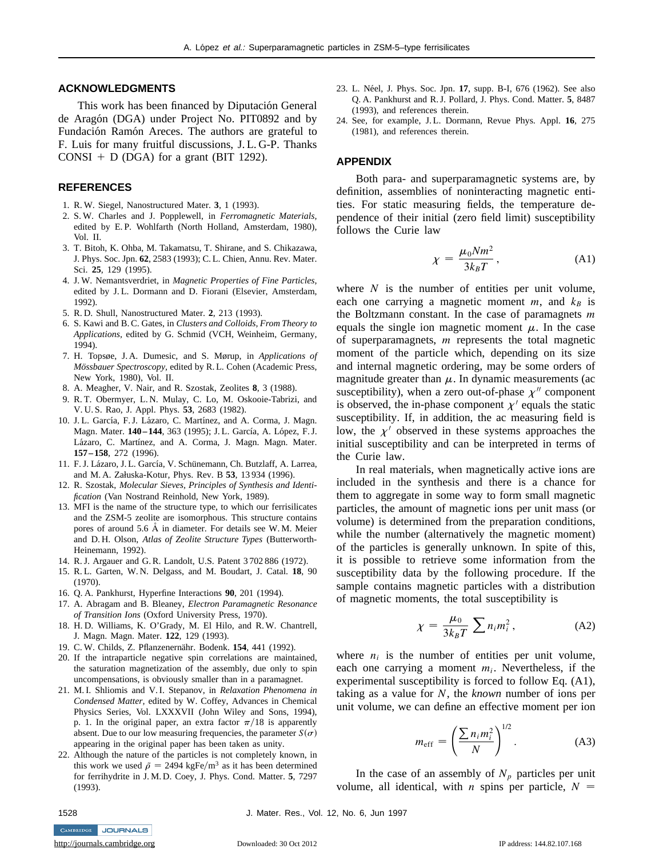# **ACKNOWLEDGMENTS**

This work has been financed by Diputación General de Aragón (DGA) under Project No. PIT0892 and by Fundación Ramón Areces. The authors are grateful to F. Luis for many fruitful discussions, J. L. G-P. Thanks CONSI  $+$  D (DGA) for a grant (BIT 1292).

### **REFERENCES**

- 1. R. W. Siegel, Nanostructured Mater. **3**, 1 (1993).
- 2. S. W. Charles and J. Popplewell, in *Ferromagnetic Materials,* edited by E. P. Wohlfarth (North Holland, Amsterdam, 1980), Vol. II.
- 3. T. Bitoh, K. Ohba, M. Takamatsu, T. Shirane, and S. Chikazawa, J. Phys. Soc. Jpn. **62**, 2583 (1993); C. L. Chien, Annu. Rev. Mater. Sci. **25**, 129 (1995).
- 4. J. W. Nemantsverdriet, in *Magnetic Properties of Fine Particles,* edited by J. L. Dormann and D. Fiorani (Elsevier, Amsterdam, 1992).
- 5. R. D. Shull, Nanostructured Mater. **2**, 213 (1993).
- 6. S. Kawi and B. C. Gates, in *Clusters and Colloids, From Theory to Applications,* edited by G. Schmid (VCH, Weinheim, Germany, 1994).
- 7. H. Topsøe, J. A. Dumesic, and S. Mørup, in *Applications of Mössbauer Spectroscopy, edited by R.L. Cohen (Academic Press,* New York, 1980), Vol. II.
- 8. A. Meagher, V. Nair, and R. Szostak, Zeolites **8**, 3 (1988).
- 9. R. T. Obermyer, L. N. Mulay, C. Lo, M. Oskooie-Tabrizi, and V. U. S. Rao, J. Appl. Phys. **53**, 2683 (1982).
- 10. J.L. García, F.J. Lázaro, C. Martínez, and A. Corma, J. Magn. Magn. Mater. 140-144, 363 (1995); J.L. García, A. López, F.J. Lázaro, C. Martínez, and A. Corma, J. Magn. Magn. Mater. **157 – 158**, 272 (1996).
- 11. F. J. Lázaro, J. L. García, V. Schünemann, Ch. Butzlaff, A. Larrea, and M. A. Załuska-Kotur, Phys. Rev. B **53**, 13 934 (1996).
- 12. R. Szostak, *Molecular Sieves, Principles of Synthesis and Identification* (Van Nostrand Reinhold, New York, 1989).
- 13. MFI is the name of the structure type, to which our ferrisilicates and the ZSM-5 zeolite are isomorphous. This structure contains pores of around 5.6 Å in diameter. For details see W.M. Meier and D. H. Olson, *Atlas of Zeolite Structure Types* (Butterworth-Heinemann, 1992).
- 14. R. J. Argauer and G. R. Landolt, U.S. Patent 3 702 886 (1972).
- 15. R. L. Garten, W. N. Delgass, and M. Boudart, J. Catal. **18**, 90 (1970).
- 16. Q. A. Pankhurst, Hyperfine Interactions **90**, 201 (1994).
- 17. A. Abragam and B. Bleaney, *Electron Paramagnetic Resonance of Transition Ions* (Oxford University Press, 1970).
- 18. H. D. Williams, K. O'Grady, M. El Hilo, and R. W. Chantrell, J. Magn. Magn. Mater. **122**, 129 (1993).
- 19. C. W. Childs, Z. Pflanzenernähr. Bodenk. **154**, 441 (1992).
- 20. If the intraparticle negative spin correlations are maintained, the saturation magnetization of the assembly, due only to spin uncompensations, is obviously smaller than in a paramagnet.
- 21. M. I. Shliomis and V. I. Stepanov, in *Relaxation Phenomena in Condensed Matter,* edited by W. Coffey, Advances in Chemical Physics Series, Vol. LXXXVII (John Wiley and Sons, 1994), p. 1. In the original paper, an extra factor  $\pi/18$  is apparently absent. Due to our low measuring frequencies, the parameter  $S(\sigma)$ appearing in the original paper has been taken as unity.
- 22. Although the nature of the particles is not completely known, in this work we used  $\tilde{\rho} = 2494$  kgFe/m<sup>3</sup> as it has been determined for ferrihydrite in J. M. D. Coey, J. Phys. Cond. Matter. **5**, 7297 (1993).
- 23. L. Néel, J. Phys. Soc. Jpn. 17, supp. B-I, 676 (1962). See also Q. A. Pankhurst and R. J. Pollard, J. Phys. Cond. Matter. **5**, 8487 (1993), and references therein.
- 24. See, for example, J. L. Dormann, Revue Phys. Appl. **16**, 275 (1981), and references therein.

#### **APPENDIX**

Both para- and superparamagnetic systems are, by definition, assemblies of noninteracting magnetic entities. For static measuring fields, the temperature dependence of their initial (zero field limit) susceptibility follows the Curie law

$$
\chi = \frac{\mu_0 N m^2}{3k_B T},\tag{A1}
$$

where  $N$  is the number of entities per unit volume, each one carrying a magnetic moment  $m$ , and  $k_B$  is the Boltzmann constant. In the case of paramagnets *m* equals the single ion magnetic moment  $\mu$ . In the case of superparamagnets, *m* represents the total magnetic moment of the particle which, depending on its size and internal magnetic ordering, may be some orders of magnitude greater than  $\mu$ . In dynamic measurements (ac susceptibility), when a zero out-of-phase  $\chi^{\prime\prime}$  component is observed, the in-phase component  $\chi'$  equals the static susceptibility. If, in addition, the ac measuring field is low, the  $\chi'$  observed in these systems approaches the initial susceptibility and can be interpreted in terms of the Curie law.

In real materials, when magnetically active ions are included in the synthesis and there is a chance for them to aggregate in some way to form small magnetic particles, the amount of magnetic ions per unit mass (or volume) is determined from the preparation conditions, while the number (alternatively the magnetic moment) of the particles is generally unknown. In spite of this, it is possible to retrieve some information from the susceptibility data by the following procedure. If the sample contains magnetic particles with a distribution of magnetic moments, the total susceptibility is

$$
\chi = \frac{\mu_0}{3k_B T} \sum n_i m_i^2, \qquad (A2)
$$

where  $n_i$  is the number of entities per unit volume, each one carrying a moment  $m_i$ . Nevertheless, if the experimental susceptibility is forced to follow Eq. (A1), taking as a value for *N*, the *known* number of ions per unit volume, we can define an effective moment per ion

$$
m_{\rm eff} = \left(\frac{\sum n_i m_i^2}{N}\right)^{1/2}.
$$
 (A3)

In the case of an assembly of  $N_p$  particles per unit volume, all identical, with *n* spins per particle,  $N =$ 

CAMBRIDGE JOURNALS